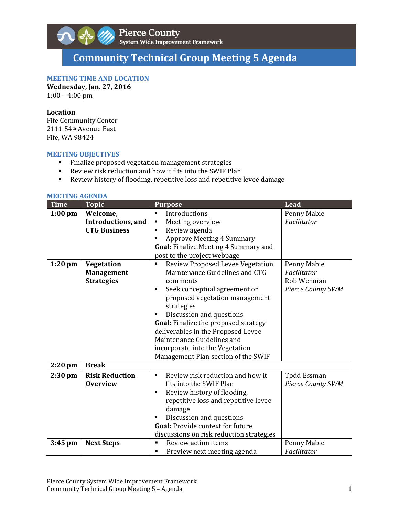

# **Community Technical Group Meeting 5 Agenda**

# **MEETING TIME AND LOCATION**

**Wednesday, Jan. 27, 2016**  $1:00 - 4:00$  pm

#### **Location**

Fife Community Center 2111 54<sup>th</sup> Avenue East Fife, WA 98424

### **MEETING OBJECTIVES**

- Finalize proposed vegetation management strategies
- Review risk reduction and how it fits into the SWIF Plan
- Review history of flooding, repetitive loss and repetitive levee damage

#### **MEETING AGENDA**

| <b>Time</b> | <b>Topic</b>          | <b>Purpose</b>                                     | <b>Lead</b>              |
|-------------|-----------------------|----------------------------------------------------|--------------------------|
| $1:00$ pm   | Welcome,              | Introductions<br>٠                                 | Penny Mabie              |
|             | Introductions, and    | Meeting overview<br>٠                              | Facilitator              |
|             | <b>CTG Business</b>   | Review agenda                                      |                          |
|             |                       | <b>Approve Meeting 4 Summary</b>                   |                          |
|             |                       | Goal: Finalize Meeting 4 Summary and               |                          |
|             |                       | post to the project webpage                        |                          |
| $1:20$ pm   | Vegetation            | Review Proposed Levee Vegetation<br>П              | Penny Mabie              |
|             | <b>Management</b>     | Maintenance Guidelines and CTG                     | Facilitator              |
|             | <b>Strategies</b>     | comments                                           | Rob Wenman               |
|             |                       | Seek conceptual agreement on<br>٠                  | <b>Pierce County SWM</b> |
|             |                       | proposed vegetation management                     |                          |
|             |                       | strategies                                         |                          |
|             |                       | Discussion and questions                           |                          |
|             |                       | Goal: Finalize the proposed strategy               |                          |
|             |                       | deliverables in the Proposed Levee                 |                          |
|             |                       | Maintenance Guidelines and                         |                          |
|             |                       | incorporate into the Vegetation                    |                          |
|             |                       | Management Plan section of the SWIF                |                          |
| $2:20$ pm   | <b>Break</b>          |                                                    |                          |
| $2:30$ pm   | <b>Risk Reduction</b> | Review risk reduction and how it<br>$\blacksquare$ | <b>Todd Essman</b>       |
|             | <b>Overview</b>       | fits into the SWIF Plan                            | <b>Pierce County SWM</b> |
|             |                       | Review history of flooding,<br>$\blacksquare$      |                          |
|             |                       | repetitive loss and repetitive levee               |                          |
|             |                       | damage                                             |                          |
|             |                       | Discussion and questions                           |                          |
|             |                       | Goal: Provide context for future                   |                          |
|             |                       | discussions on risk reduction strategies           |                          |
| $3:45$ pm   | <b>Next Steps</b>     | Review action items                                | Penny Mabie              |
|             |                       | Preview next meeting agenda                        | Facilitator              |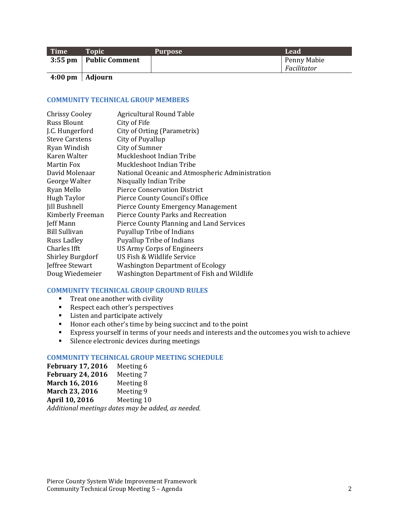| Time | <b>Topic</b>             | Purpose | Lead        |
|------|--------------------------|---------|-------------|
|      | 3:55 pm   Public Comment |         | Penny Mabie |
|      |                          |         | Facilitator |
|      |                          |         |             |

**4:00 pm Adjourn**

### **COMMUNITY TECHNICAL GROUP MEMBERS**

| <b>Chrissy Cooley</b>   | Agricultural Round Table                        |
|-------------------------|-------------------------------------------------|
| Russ Blount             | City of Fife                                    |
| J.C. Hungerford         | City of Orting (Parametrix)                     |
| <b>Steve Carstens</b>   | City of Puyallup                                |
| Ryan Windish            | City of Sumner                                  |
| Karen Walter            | Muckleshoot Indian Tribe                        |
| Martin Fox              | Muckleshoot Indian Tribe                        |
| David Molenaar          | National Oceanic and Atmospheric Administration |
| George Walter           | Nisqually Indian Tribe                          |
| Ryan Mello              | <b>Pierce Conservation District</b>             |
| <b>Hugh Taylor</b>      | Pierce County Council's Office                  |
| <b>Jill Bushnell</b>    | <b>Pierce County Emergency Management</b>       |
| Kimberly Freeman        | Pierce County Parks and Recreation              |
| Jeff Mann               | Pierce County Planning and Land Services        |
| <b>Bill Sullivan</b>    | <b>Puyallup Tribe of Indians</b>                |
| Russ Ladley             | <b>Puyallup Tribe of Indians</b>                |
| Charles Ifft            | US Army Corps of Engineers                      |
| <b>Shirley Burgdorf</b> | US Fish & Wildlife Service                      |
| Jeffree Stewart         | <b>Washington Department of Ecology</b>         |
| Doug Wiedemeier         | Washington Department of Fish and Wildlife      |

# **COMMUNITY TECHNICAL GROUP GROUND RULES**

- $\blacksquare$  Treat one another with civility
- Respect each other's perspectives
- **EXECUTE:** Listen and participate actively
- Honor each other's time by being succinct and to the point
- Express yourself in terms of your needs and interests and the outcomes you wish to achieve
- **Silence electronic devices during meetings**

# **COMMUNITY TECHNICAL GROUP MEETING SCHEDULE**

| <b>February 17, 2016</b>                           | Meeting 6  |  |
|----------------------------------------------------|------------|--|
| <b>February 24, 2016</b>                           | Meeting 7  |  |
| March 16, 2016                                     | Meeting 8  |  |
| March 23, 2016                                     | Meeting 9  |  |
| April 10, 2016                                     | Meeting 10 |  |
| Additional meetings dates may be added, as needed. |            |  |